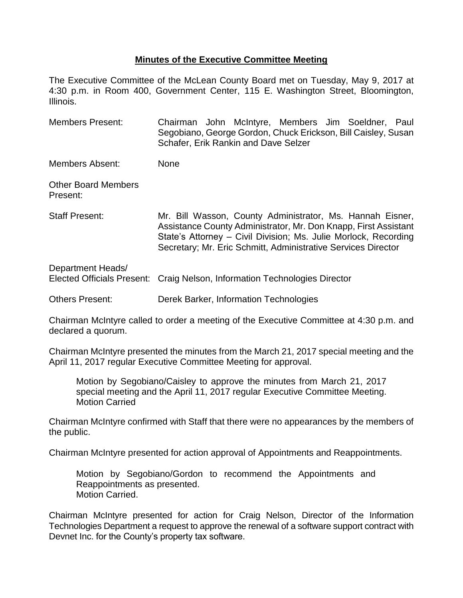## **Minutes of the Executive Committee Meeting**

The Executive Committee of the McLean County Board met on Tuesday, May 9, 2017 at 4:30 p.m. in Room 400, Government Center, 115 E. Washington Street, Bloomington, Illinois.

Members Present: Chairman John McIntyre, Members Jim Soeldner, Paul Segobiano, George Gordon, Chuck Erickson, Bill Caisley, Susan Schafer, Erik Rankin and Dave Selzer

Members Absent: None

Other Board Members Present:

Staff Present: Mr. Bill Wasson, County Administrator, Ms. Hannah Eisner, Assistance County Administrator, Mr. Don Knapp, First Assistant State's Attorney – Civil Division; Ms. Julie Morlock, Recording Secretary; Mr. Eric Schmitt, Administrative Services Director

| Department Heads/      | Elected Officials Present: Craig Nelson, Information Technologies Director |
|------------------------|----------------------------------------------------------------------------|
| <b>Others Present:</b> | Derek Barker, Information Technologies                                     |

Chairman McIntyre called to order a meeting of the Executive Committee at 4:30 p.m. and declared a quorum.

Chairman McIntyre presented the minutes from the March 21, 2017 special meeting and the April 11, 2017 regular Executive Committee Meeting for approval.

Motion by Segobiano/Caisley to approve the minutes from March 21, 2017 special meeting and the April 11, 2017 regular Executive Committee Meeting. Motion Carried

Chairman McIntyre confirmed with Staff that there were no appearances by the members of the public.

Chairman McIntyre presented for action approval of Appointments and Reappointments.

Motion by Segobiano/Gordon to recommend the Appointments and Reappointments as presented. Motion Carried.

Chairman McIntyre presented for action for Craig Nelson, Director of the Information Technologies Department a request to approve the renewal of a software support contract with Devnet Inc. for the County's property tax software.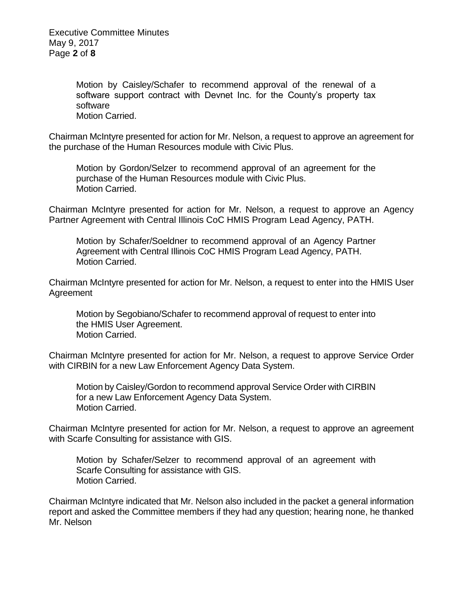Executive Committee Minutes May 9, 2017 Page **2** of **8**

> Motion by Caisley/Schafer to recommend approval of the renewal of a software support contract with Devnet Inc. for the County's property tax software Motion Carried.

Chairman McIntyre presented for action for Mr. Nelson, a request to approve an agreement for the purchase of the Human Resources module with Civic Plus.

Motion by Gordon/Selzer to recommend approval of an agreement for the purchase of the Human Resources module with Civic Plus. Motion Carried.

Chairman McIntyre presented for action for Mr. Nelson, a request to approve an Agency Partner Agreement with Central Illinois CoC HMIS Program Lead Agency, PATH.

Motion by Schafer/Soeldner to recommend approval of an Agency Partner Agreement with Central Illinois CoC HMIS Program Lead Agency, PATH. Motion Carried.

Chairman McIntyre presented for action for Mr. Nelson, a request to enter into the HMIS User Agreement

Motion by Segobiano/Schafer to recommend approval of request to enter into the HMIS User Agreement. Motion Carried.

Chairman McIntyre presented for action for Mr. Nelson, a request to approve Service Order with CIRBIN for a new Law Enforcement Agency Data System.

Motion by Caisley/Gordon to recommend approval Service Order with CIRBIN for a new Law Enforcement Agency Data System. Motion Carried.

Chairman McIntyre presented for action for Mr. Nelson, a request to approve an agreement with Scarfe Consulting for assistance with GIS.

Motion by Schafer/Selzer to recommend approval of an agreement with Scarfe Consulting for assistance with GIS. Motion Carried.

Chairman McIntyre indicated that Mr. Nelson also included in the packet a general information report and asked the Committee members if they had any question; hearing none, he thanked Mr. Nelson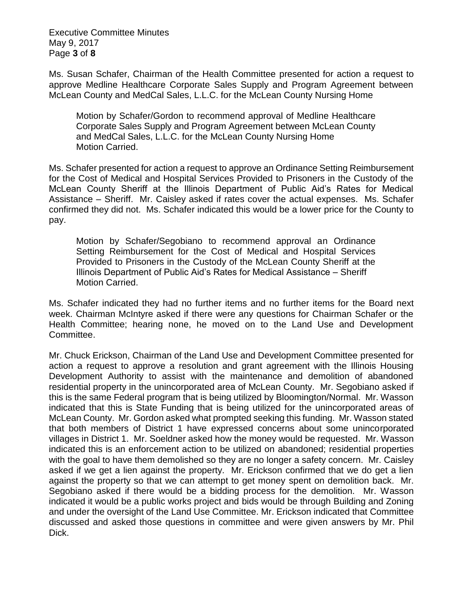Executive Committee Minutes May 9, 2017 Page **3** of **8**

Ms. Susan Schafer, Chairman of the Health Committee presented for action a request to approve Medline Healthcare Corporate Sales Supply and Program Agreement between McLean County and MedCal Sales, L.L.C. for the McLean County Nursing Home

Motion by Schafer/Gordon to recommend approval of Medline Healthcare Corporate Sales Supply and Program Agreement between McLean County and MedCal Sales, L.L.C. for the McLean County Nursing Home Motion Carried.

Ms. Schafer presented for action a request to approve an Ordinance Setting Reimbursement for the Cost of Medical and Hospital Services Provided to Prisoners in the Custody of the McLean County Sheriff at the Illinois Department of Public Aid's Rates for Medical Assistance – Sheriff. Mr. Caisley asked if rates cover the actual expenses. Ms. Schafer confirmed they did not. Ms. Schafer indicated this would be a lower price for the County to pay.

Motion by Schafer/Segobiano to recommend approval an Ordinance Setting Reimbursement for the Cost of Medical and Hospital Services Provided to Prisoners in the Custody of the McLean County Sheriff at the Illinois Department of Public Aid's Rates for Medical Assistance – Sheriff Motion Carried.

Ms. Schafer indicated they had no further items and no further items for the Board next week. Chairman McIntyre asked if there were any questions for Chairman Schafer or the Health Committee; hearing none, he moved on to the Land Use and Development Committee.

Mr. Chuck Erickson, Chairman of the Land Use and Development Committee presented for action a request to approve a resolution and grant agreement with the Illinois Housing Development Authority to assist with the maintenance and demolition of abandoned residential property in the unincorporated area of McLean County. Mr. Segobiano asked if this is the same Federal program that is being utilized by Bloomington/Normal. Mr. Wasson indicated that this is State Funding that is being utilized for the unincorporated areas of McLean County. Mr. Gordon asked what prompted seeking this funding. Mr. Wasson stated that both members of District 1 have expressed concerns about some unincorporated villages in District 1. Mr. Soeldner asked how the money would be requested. Mr. Wasson indicated this is an enforcement action to be utilized on abandoned; residential properties with the goal to have them demolished so they are no longer a safety concern. Mr. Caisley asked if we get a lien against the property. Mr. Erickson confirmed that we do get a lien against the property so that we can attempt to get money spent on demolition back. Mr. Segobiano asked if there would be a bidding process for the demolition. Mr. Wasson indicated it would be a public works project and bids would be through Building and Zoning and under the oversight of the Land Use Committee. Mr. Erickson indicated that Committee discussed and asked those questions in committee and were given answers by Mr. Phil Dick.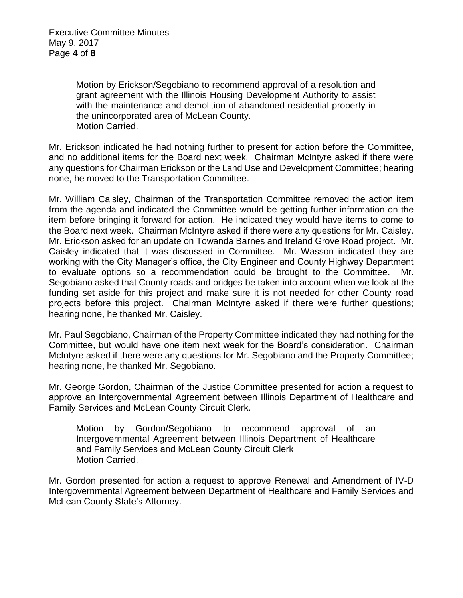Motion by Erickson/Segobiano to recommend approval of a resolution and grant agreement with the Illinois Housing Development Authority to assist with the maintenance and demolition of abandoned residential property in the unincorporated area of McLean County. Motion Carried.

Mr. Erickson indicated he had nothing further to present for action before the Committee, and no additional items for the Board next week. Chairman McIntyre asked if there were any questions for Chairman Erickson or the Land Use and Development Committee; hearing none, he moved to the Transportation Committee.

Mr. William Caisley, Chairman of the Transportation Committee removed the action item from the agenda and indicated the Committee would be getting further information on the item before bringing it forward for action. He indicated they would have items to come to the Board next week. Chairman McIntyre asked if there were any questions for Mr. Caisley. Mr. Erickson asked for an update on Towanda Barnes and Ireland Grove Road project. Mr. Caisley indicated that it was discussed in Committee. Mr. Wasson indicated they are working with the City Manager's office, the City Engineer and County Highway Department to evaluate options so a recommendation could be brought to the Committee. Mr. Segobiano asked that County roads and bridges be taken into account when we look at the funding set aside for this project and make sure it is not needed for other County road projects before this project. Chairman McIntyre asked if there were further questions; hearing none, he thanked Mr. Caisley.

Mr. Paul Segobiano, Chairman of the Property Committee indicated they had nothing for the Committee, but would have one item next week for the Board's consideration. Chairman McIntyre asked if there were any questions for Mr. Segobiano and the Property Committee; hearing none, he thanked Mr. Segobiano.

Mr. George Gordon, Chairman of the Justice Committee presented for action a request to approve an Intergovernmental Agreement between Illinois Department of Healthcare and Family Services and McLean County Circuit Clerk.

Motion by Gordon/Segobiano to recommend approval of an Intergovernmental Agreement between Illinois Department of Healthcare and Family Services and McLean County Circuit Clerk Motion Carried.

Mr. Gordon presented for action a request to approve Renewal and Amendment of IV-D Intergovernmental Agreement between Department of Healthcare and Family Services and McLean County State's Attorney.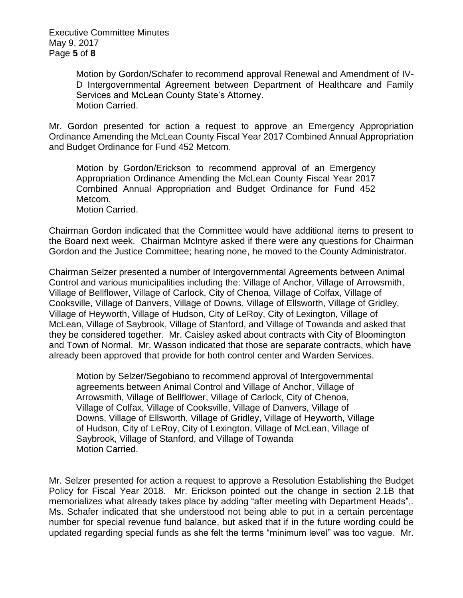Motion by Gordon/Schafer to recommend approval Renewal and Amendment of IV-D Intergovernmental Agreement between Department of Healthcare and Family Services and McLean County State's Attorney. Motion Carried.

Mr. Gordon presented for action a request to approve an Emergency Appropriation Ordinance Amending the McLean County Fiscal Year 2017 Combined Annual Appropriation and Budget Ordinance for Fund 452 Metcom.

Motion by Gordon/Erickson to recommend approval of an Emergency Appropriation Ordinance Amending the McLean County Fiscal Year 2017 Combined Annual Appropriation and Budget Ordinance for Fund 452 Metcom. Motion Carried.

Chairman Gordon indicated that the Committee would have additional items to present to the Board next week. Chairman McIntyre asked if there were any questions for Chairman Gordon and the Justice Committee; hearing none, he moved to the County Administrator.

Chairman Selzer presented a number of Intergovernmental Agreements between Animal Control and various municipalities including the: Village of Anchor, Village of Arrowsmith, Village of Bellflower, Village of Carlock, City of Chenoa, Village of Colfax, Village of Cooksville, Village of Danvers, Village of Downs, Village of Ellsworth, Village of Gridley, Village of Heyworth, Village of Hudson, City of LeRoy, City of Lexington, Village of McLean, Village of Saybrook, Village of Stanford, and Village of Towanda and asked that they be considered together. Mr. Caisley asked about contracts with City of Bloomington and Town of Normal. Mr. Wasson indicated that those are separate contracts, which have already been approved that provide for both control center and Warden Services.

Motion by Selzer/Segobiano to recommend approval of Intergovernmental agreements between Animal Control and Village of Anchor, Village of Arrowsmith, Village of Bellflower, Village of Carlock, City of Chenoa, Village of Colfax, Village of Cooksville, Village of Danvers, Village of Downs, Village of Ellsworth, Village of Gridley, Village of Heyworth, Village of Hudson, City of LeRoy, City of Lexington, Village of McLean, Village of Saybrook, Village of Stanford, and Village of Towanda Motion Carried.

Mr. Selzer presented for action a request to approve a Resolution Establishing the Budget Policy for Fiscal Year 2018. Mr. Erickson pointed out the change in section 2.1B that memorializes what already takes place by adding "after meeting with Department Heads",. Ms. Schafer indicated that she understood not being able to put in a certain percentage number for special revenue fund balance, but asked that if in the future wording could be updated regarding special funds as she felt the terms "minimum level" was too vague. Mr.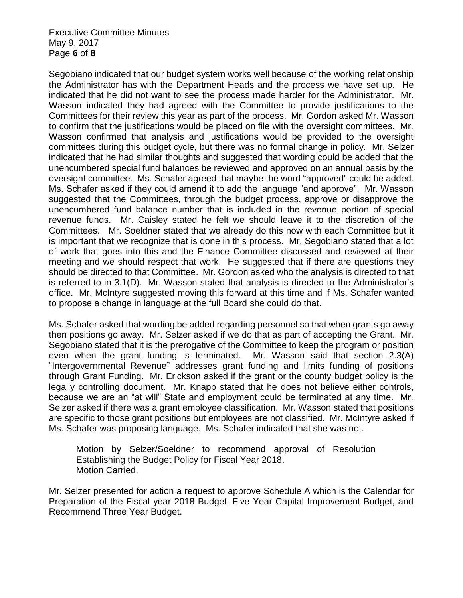Executive Committee Minutes May 9, 2017 Page **6** of **8**

Segobiano indicated that our budget system works well because of the working relationship the Administrator has with the Department Heads and the process we have set up. He indicated that he did not want to see the process made harder for the Administrator. Mr. Wasson indicated they had agreed with the Committee to provide justifications to the Committees for their review this year as part of the process. Mr. Gordon asked Mr. Wasson to confirm that the justifications would be placed on file with the oversight committees. Mr. Wasson confirmed that analysis and justifications would be provided to the oversight committees during this budget cycle, but there was no formal change in policy. Mr. Selzer indicated that he had similar thoughts and suggested that wording could be added that the unencumbered special fund balances be reviewed and approved on an annual basis by the oversight committee. Ms. Schafer agreed that maybe the word "approved" could be added. Ms. Schafer asked if they could amend it to add the language "and approve". Mr. Wasson suggested that the Committees, through the budget process, approve or disapprove the unencumbered fund balance number that is included in the revenue portion of special revenue funds. Mr. Caisley stated he felt we should leave it to the discretion of the Committees. Mr. Soeldner stated that we already do this now with each Committee but it is important that we recognize that is done in this process. Mr. Segobiano stated that a lot of work that goes into this and the Finance Committee discussed and reviewed at their meeting and we should respect that work. He suggested that if there are questions they should be directed to that Committee. Mr. Gordon asked who the analysis is directed to that is referred to in 3.1(D). Mr. Wasson stated that analysis is directed to the Administrator's office. Mr. McIntyre suggested moving this forward at this time and if Ms. Schafer wanted to propose a change in language at the full Board she could do that.

Ms. Schafer asked that wording be added regarding personnel so that when grants go away then positions go away. Mr. Selzer asked if we do that as part of accepting the Grant. Mr. Segobiano stated that it is the prerogative of the Committee to keep the program or position even when the grant funding is terminated. Mr. Wasson said that section 2.3(A) "Intergovernmental Revenue" addresses grant funding and limits funding of positions through Grant Funding. Mr. Erickson asked if the grant or the county budget policy is the legally controlling document. Mr. Knapp stated that he does not believe either controls, because we are an "at will" State and employment could be terminated at any time. Mr. Selzer asked if there was a grant employee classification. Mr. Wasson stated that positions are specific to those grant positions but employees are not classified. Mr. McIntyre asked if Ms. Schafer was proposing language. Ms. Schafer indicated that she was not.

Motion by Selzer/Soeldner to recommend approval of Resolution Establishing the Budget Policy for Fiscal Year 2018. Motion Carried.

Mr. Selzer presented for action a request to approve Schedule A which is the Calendar for Preparation of the Fiscal year 2018 Budget, Five Year Capital Improvement Budget, and Recommend Three Year Budget.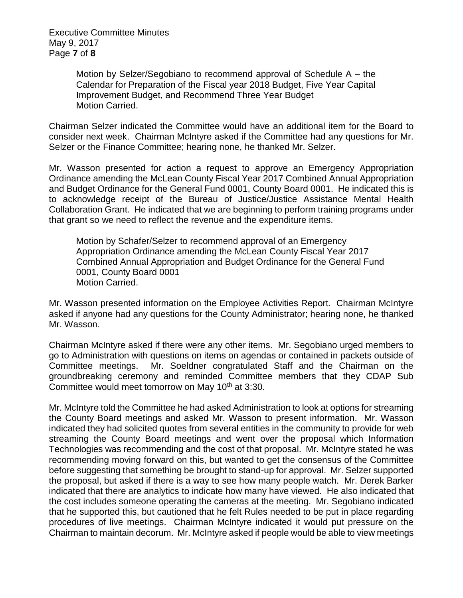Executive Committee Minutes May 9, 2017 Page **7** of **8**

> Motion by Selzer/Segobiano to recommend approval of Schedule A – the Calendar for Preparation of the Fiscal year 2018 Budget, Five Year Capital Improvement Budget, and Recommend Three Year Budget Motion Carried.

Chairman Selzer indicated the Committee would have an additional item for the Board to consider next week. Chairman McIntyre asked if the Committee had any questions for Mr. Selzer or the Finance Committee; hearing none, he thanked Mr. Selzer.

Mr. Wasson presented for action a request to approve an Emergency Appropriation Ordinance amending the McLean County Fiscal Year 2017 Combined Annual Appropriation and Budget Ordinance for the General Fund 0001, County Board 0001. He indicated this is to acknowledge receipt of the Bureau of Justice/Justice Assistance Mental Health Collaboration Grant. He indicated that we are beginning to perform training programs under that grant so we need to reflect the revenue and the expenditure items.

Motion by Schafer/Selzer to recommend approval of an Emergency Appropriation Ordinance amending the McLean County Fiscal Year 2017 Combined Annual Appropriation and Budget Ordinance for the General Fund 0001, County Board 0001 Motion Carried.

Mr. Wasson presented information on the Employee Activities Report. Chairman McIntyre asked if anyone had any questions for the County Administrator; hearing none, he thanked Mr. Wasson.

Chairman McIntyre asked if there were any other items. Mr. Segobiano urged members to go to Administration with questions on items on agendas or contained in packets outside of Committee meetings. Mr. Soeldner congratulated Staff and the Chairman on the groundbreaking ceremony and reminded Committee members that they CDAP Sub Committee would meet tomorrow on May 10<sup>th</sup> at 3:30.

Mr. McIntyre told the Committee he had asked Administration to look at options for streaming the County Board meetings and asked Mr. Wasson to present information. Mr. Wasson indicated they had solicited quotes from several entities in the community to provide for web streaming the County Board meetings and went over the proposal which Information Technologies was recommending and the cost of that proposal. Mr. McIntyre stated he was recommending moving forward on this, but wanted to get the consensus of the Committee before suggesting that something be brought to stand-up for approval. Mr. Selzer supported the proposal, but asked if there is a way to see how many people watch. Mr. Derek Barker indicated that there are analytics to indicate how many have viewed. He also indicated that the cost includes someone operating the cameras at the meeting. Mr. Segobiano indicated that he supported this, but cautioned that he felt Rules needed to be put in place regarding procedures of live meetings. Chairman McIntyre indicated it would put pressure on the Chairman to maintain decorum. Mr. McIntyre asked if people would be able to view meetings